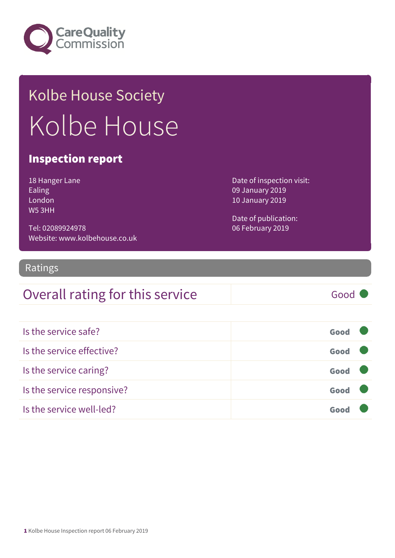

# Kolbe House Society Kolbe House

#### Inspection report

| 18 Hanger Lane     |
|--------------------|
| Ealing             |
| London             |
| W <sub>5</sub> 3HH |

Tel: 02089924978 Website: www.kolbehouse.co.uk Date of inspection visit: 09 January 2019 10 January 2019

Date of publication: 06 February 2019

#### Ratings

### Overall rating for this service Good

| Is the service safe?       | Good |
|----------------------------|------|
| Is the service effective?  | Good |
| Is the service caring?     | Good |
| Is the service responsive? | Good |
| Is the service well-led?   | Goo  |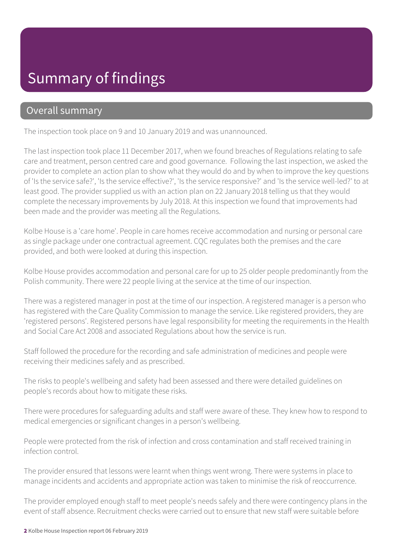# Summary of findings

#### Overall summary

The inspection took place on 9 and 10 January 2019 and was unannounced.

The last inspection took place 11 December 2017, when we found breaches of Regulations relating to safe care and treatment, person centred care and good governance. Following the last inspection, we asked the provider to complete an action plan to show what they would do and by when to improve the key questions of 'Is the service safe?', 'Is the service effective?', 'Is the service responsive?' and 'Is the service well-led?' to at least good. The provider supplied us with an action plan on 22 January 2018 telling us that they would complete the necessary improvements by July 2018. At this inspection we found that improvements had been made and the provider was meeting all the Regulations.

Kolbe House is a 'care home'. People in care homes receive accommodation and nursing or personal care as single package under one contractual agreement. CQC regulates both the premises and the care provided, and both were looked at during this inspection.

Kolbe House provides accommodation and personal care for up to 25 older people predominantly from the Polish community. There were 22 people living at the service at the time of our inspection.

There was a registered manager in post at the time of our inspection. A registered manager is a person who has registered with the Care Quality Commission to manage the service. Like registered providers, they are 'registered persons'. Registered persons have legal responsibility for meeting the requirements in the Health and Social Care Act 2008 and associated Regulations about how the service is run.

Staff followed the procedure for the recording and safe administration of medicines and people were receiving their medicines safely and as prescribed.

The risks to people's wellbeing and safety had been assessed and there were detailed guidelines on people's records about how to mitigate these risks.

There were procedures for safeguarding adults and staff were aware of these. They knew how to respond to medical emergencies or significant changes in a person's wellbeing.

People were protected from the risk of infection and cross contamination and staff received training in infection control.

The provider ensured that lessons were learnt when things went wrong. There were systems in place to manage incidents and accidents and appropriate action was taken to minimise the risk of reoccurrence.

The provider employed enough staff to meet people's needs safely and there were contingency plans in the event of staff absence. Recruitment checks were carried out to ensure that new staff were suitable before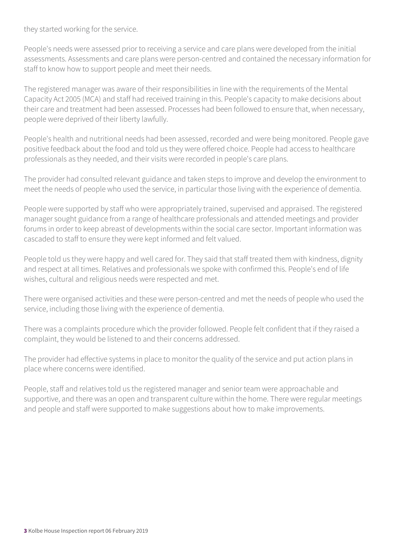they started working for the service.

People's needs were assessed prior to receiving a service and care plans were developed from the initial assessments. Assessments and care plans were person-centred and contained the necessary information for staff to know how to support people and meet their needs.

The registered manager was aware of their responsibilities in line with the requirements of the Mental Capacity Act 2005 (MCA) and staff had received training in this. People's capacity to make decisions about their care and treatment had been assessed. Processes had been followed to ensure that, when necessary, people were deprived of their liberty lawfully.

People's health and nutritional needs had been assessed, recorded and were being monitored. People gave positive feedback about the food and told us they were offered choice. People had access to healthcare professionals as they needed, and their visits were recorded in people's care plans.

The provider had consulted relevant guidance and taken steps to improve and develop the environment to meet the needs of people who used the service, in particular those living with the experience of dementia.

People were supported by staff who were appropriately trained, supervised and appraised. The registered manager sought guidance from a range of healthcare professionals and attended meetings and provider forums in order to keep abreast of developments within the social care sector. Important information was cascaded to staff to ensure they were kept informed and felt valued.

People told us they were happy and well cared for. They said that staff treated them with kindness, dignity and respect at all times. Relatives and professionals we spoke with confirmed this. People's end of life wishes, cultural and religious needs were respected and met.

There were organised activities and these were person-centred and met the needs of people who used the service, including those living with the experience of dementia.

There was a complaints procedure which the provider followed. People felt confident that if they raised a complaint, they would be listened to and their concerns addressed.

The provider had effective systems in place to monitor the quality of the service and put action plans in place where concerns were identified.

People, staff and relatives told us the registered manager and senior team were approachable and supportive, and there was an open and transparent culture within the home. There were regular meetings and people and staff were supported to make suggestions about how to make improvements.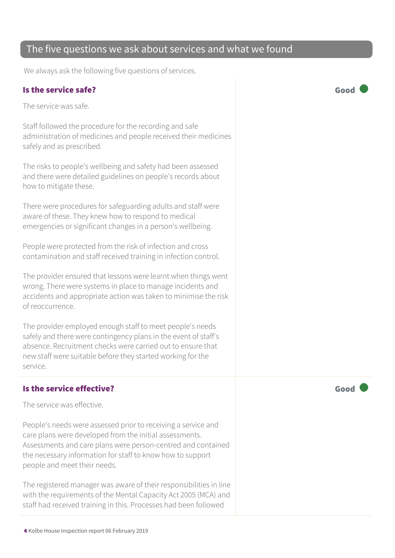4 Kolbe House Inspection report 06 February 2019

#### The five questions we ask about services and what we found

We always ask the following five questions of services.

#### Is the service safe? Good

The service was safe.

Staff followed the procedure for the recording and safe administration of medicines and people received their medicines safely and as prescribed.

The risks to people's wellbeing and safety had been assessed and there were detailed guidelines on people's records about how to mitigate these.

There were procedures for safeguarding adults and staff were aware of these. They knew how to respond to medical emergencies or significant changes in a person's wellbeing.

People were protected from the risk of infection and cross contamination and staff received training in infection control.

The provider ensured that lessons were learnt when things went wrong. There were systems in place to manage incidents and accidents and appropriate action was taken to minimise the risk of reoccurrence.

The provider employed enough staff to meet people's needs safely and there were contingency plans in the event of staff's absence. Recruitment checks were carried out to ensure that new staff were suitable before they started working for the service.

#### Is the service effective? The service effective?

The service was effective.

People's needs were assessed prior to receiving a service and care plans were developed from the initial assessments. Assessments and care plans were person-centred and contained the necessary information for staff to know how to support people and meet their needs.

The registered manager was aware of their responsibilities in line with the requirements of the Mental Capacity Act 2005 (MCA) and staff had received training in this. Processes had been followed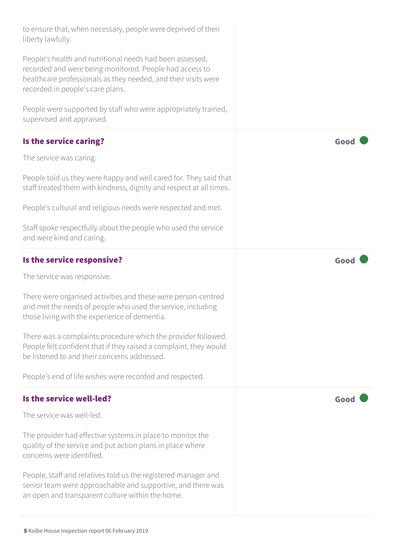| to ensure that, when necessary, people were deprived of their<br>liberty lawfully.                                                                                                                                        |      |
|---------------------------------------------------------------------------------------------------------------------------------------------------------------------------------------------------------------------------|------|
| People's health and nutritional needs had been assessed,<br>recorded and were being monitored. People had access to<br>healthcare professionals as they needed, and their visits were<br>recorded in people's care plans. |      |
| People were supported by staff who were appropriately trained,<br>supervised and appraised.                                                                                                                               |      |
| Is the service caring?                                                                                                                                                                                                    | Good |
| The service was caring.                                                                                                                                                                                                   |      |
| People told us they were happy and well cared for. They said that<br>staff treated them with kindness, dignity and respect at all times.                                                                                  |      |
| People's cultural and religious needs were respected and met.                                                                                                                                                             |      |
| Staff spoke respectfully about the people who used the service<br>and were kind and caring.                                                                                                                               |      |
| Is the service responsive?                                                                                                                                                                                                | Good |
| The service was responsive.                                                                                                                                                                                               |      |
| There were organised activities and these were person-centred<br>and met the needs of people who used the service, including<br>those living with the experience of dementia.                                             |      |
| There was a complaints procedure which the provider followed.<br>People felt confident that if they raised a complaint, they would<br>be listened to and their concerns addressed.                                        |      |
| People's end of life wishes were recorded and respected.                                                                                                                                                                  |      |
| Is the service well-led?                                                                                                                                                                                                  | Good |
| The service was well-led.                                                                                                                                                                                                 |      |
| The provider had effective systems in place to monitor the                                                                                                                                                                |      |
| quality of the service and put action plans in place where<br>concerns were identified.                                                                                                                                   |      |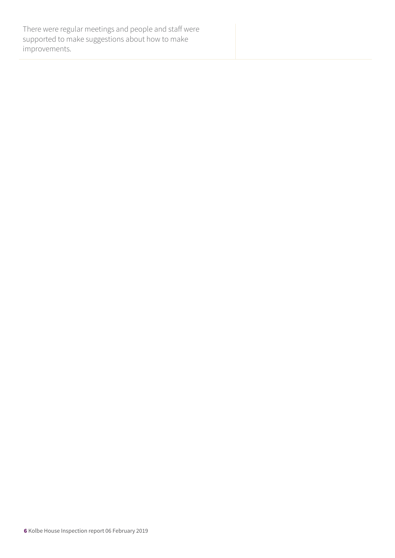There were regular meetings and people and staff were supported to make suggestions about how to make improvements.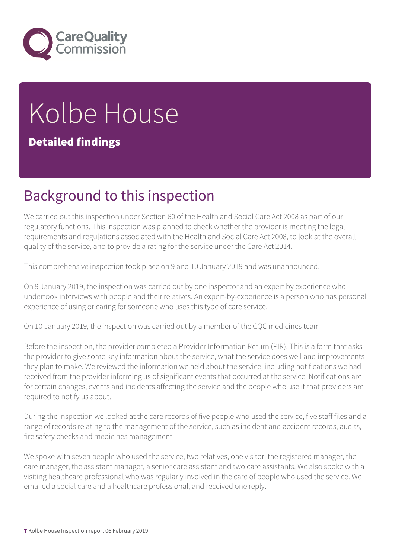

# Kolbe House

#### Detailed findings

# Background to this inspection

We carried out this inspection under Section 60 of the Health and Social Care Act 2008 as part of our regulatory functions. This inspection was planned to check whether the provider is meeting the legal requirements and regulations associated with the Health and Social Care Act 2008, to look at the overall quality of the service, and to provide a rating for the service under the Care Act 2014.

This comprehensive inspection took place on 9 and 10 January 2019 and was unannounced.

On 9 January 2019, the inspection was carried out by one inspector and an expert by experience who undertook interviews with people and their relatives. An expert-by-experience is a person who has personal experience of using or caring for someone who uses this type of care service.

On 10 January 2019, the inspection was carried out by a member of the CQC medicines team.

Before the inspection, the provider completed a Provider Information Return (PIR). This is a form that asks the provider to give some key information about the service, what the service does well and improvements they plan to make. We reviewed the information we held about the service, including notifications we had received from the provider informing us of significant events that occurred at the service. Notifications are for certain changes, events and incidents affecting the service and the people who use it that providers are required to notify us about.

During the inspection we looked at the care records of five people who used the service, five staff files and a range of records relating to the management of the service, such as incident and accident records, audits, fire safety checks and medicines management.

We spoke with seven people who used the service, two relatives, one visitor, the registered manager, the care manager, the assistant manager, a senior care assistant and two care assistants. We also spoke with a visiting healthcare professional who was regularly involved in the care of people who used the service. We emailed a social care and a healthcare professional, and received one reply.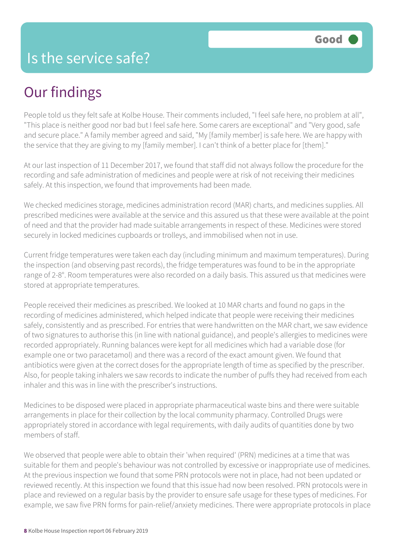# Our findings

People told us they felt safe at Kolbe House. Their comments included, "I feel safe here, no problem at all", "This place is neither good nor bad but I feel safe here. Some carers are exceptional" and "Very good, safe and secure place." A family member agreed and said. "My [family member] is safe here. We are happy with the service that they are giving to my [family member]. I can't think of a better place for [them]."

At our last inspection of 11 December 2017, we found that staff did not always follow the procedure for the recording and safe administration of medicines and people were at risk of not receiving their medicines safely. At this inspection, we found that improvements had been made.

We checked medicines storage, medicines administration record (MAR) charts, and medicines supplies. All prescribed medicines were available at the service and this assured us that these were available at the point of need and that the provider had made suitable arrangements in respect of these. Medicines were stored securely in locked medicines cupboards or trolleys, and immobilised when not in use.

Current fridge temperatures were taken each day (including minimum and maximum temperatures). During the inspection (and observing past records), the fridge temperatures was found to be in the appropriate range of 2-8°. Room temperatures were also recorded on a daily basis. This assured us that medicines were stored at appropriate temperatures.

People received their medicines as prescribed. We looked at 10 MAR charts and found no gaps in the recording of medicines administered, which helped indicate that people were receiving their medicines safely, consistently and as prescribed. For entries that were handwritten on the MAR chart, we saw evidence of two signatures to authorise this (in line with national guidance), and people's allergies to medicines were recorded appropriately. Running balances were kept for all medicines which had a variable dose (for example one or two paracetamol) and there was a record of the exact amount given. We found that antibiotics were given at the correct doses for the appropriate length of time as specified by the prescriber. Also, for people taking inhalers we saw records to indicate the number of puffs they had received from each inhaler and this was in line with the prescriber's instructions.

Medicines to be disposed were placed in appropriate pharmaceutical waste bins and there were suitable arrangements in place for their collection by the local community pharmacy. Controlled Drugs were appropriately stored in accordance with legal requirements, with daily audits of quantities done by two members of staff.

We observed that people were able to obtain their 'when required' (PRN) medicines at a time that was suitable for them and people's behaviour was not controlled by excessive or inappropriate use of medicines. At the previous inspection we found that some PRN protocols were not in place, had not been updated or reviewed recently. At this inspection we found that this issue had now been resolved. PRN protocols were in place and reviewed on a regular basis by the provider to ensure safe usage for these types of medicines. For example, we saw five PRN forms for pain-relief/anxiety medicines. There were appropriate protocols in place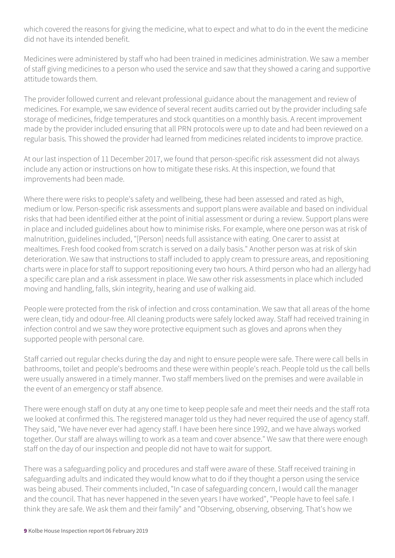which covered the reasons for giving the medicine, what to expect and what to do in the event the medicine did not have its intended benefit.

Medicines were administered by staff who had been trained in medicines administration. We saw a member of staff giving medicines to a person who used the service and saw that they showed a caring and supportive attitude towards them.

The provider followed current and relevant professional guidance about the management and review of medicines. For example, we saw evidence of several recent audits carried out by the provider including safe storage of medicines, fridge temperatures and stock quantities on a monthly basis. A recent improvement made by the provider included ensuring that all PRN protocols were up to date and had been reviewed on a regular basis. This showed the provider had learned from medicines related incidents to improve practice.

At our last inspection of 11 December 2017, we found that person-specific risk assessment did not always include any action or instructions on how to mitigate these risks. At this inspection, we found that improvements had been made.

Where there were risks to people's safety and wellbeing, these had been assessed and rated as high, medium or low. Person-specific risk assessments and support plans were available and based on individual risks that had been identified either at the point of initial assessment or during a review. Support plans were in place and included guidelines about how to minimise risks. For example, where one person was at risk of malnutrition, guidelines included, "[Person] needs full assistance with eating. One carer to assist at mealtimes. Fresh food cooked from scratch is served on a daily basis." Another person was at risk of skin deterioration. We saw that instructions to staff included to apply cream to pressure areas, and repositioning charts were in place for staff to support repositioning every two hours. A third person who had an allergy had a specific care plan and a risk assessment in place. We saw other risk assessments in place which included moving and handling, falls, skin integrity, hearing and use of walking aid.

People were protected from the risk of infection and cross contamination. We saw that all areas of the home were clean, tidy and odour-free. All cleaning products were safely locked away. Staff had received training in infection control and we saw they wore protective equipment such as gloves and aprons when they supported people with personal care.

Staff carried out regular checks during the day and night to ensure people were safe. There were call bells in bathrooms, toilet and people's bedrooms and these were within people's reach. People told us the call bells were usually answered in a timely manner. Two staff members lived on the premises and were available in the event of an emergency or staff absence.

There were enough staff on duty at any one time to keep people safe and meet their needs and the staff rota we looked at confirmed this. The registered manager told us they had never required the use of agency staff. They said, "We have never ever had agency staff. I have been here since 1992, and we have always worked together. Our staff are always willing to work as a team and cover absence." We saw that there were enough staff on the day of our inspection and people did not have to wait for support.

There was a safeguarding policy and procedures and staff were aware of these. Staff received training in safeguarding adults and indicated they would know what to do if they thought a person using the service was being abused. Their comments included, "In case of safeguarding concern, I would call the manager and the council. That has never happened in the seven years I have worked", "People have to feel safe. I think they are safe. We ask them and their family" and "Observing, observing, observing. That's how we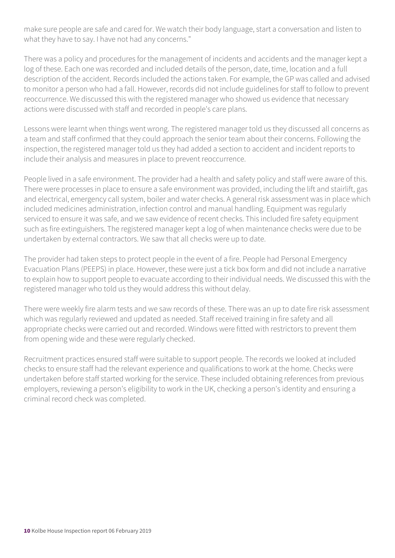make sure people are safe and cared for. We watch their body language, start a conversation and listen to what they have to say. I have not had any concerns."

There was a policy and procedures for the management of incidents and accidents and the manager kept a log of these. Each one was recorded and included details of the person, date, time, location and a full description of the accident. Records included the actions taken. For example, the GP was called and advised to monitor a person who had a fall. However, records did not include guidelines for staff to follow to prevent reoccurrence. We discussed this with the registered manager who showed us evidence that necessary actions were discussed with staff and recorded in people's care plans.

Lessons were learnt when things went wrong. The registered manager told us they discussed all concerns as a team and staff confirmed that they could approach the senior team about their concerns. Following the inspection, the registered manager told us they had added a section to accident and incident reports to include their analysis and measures in place to prevent reoccurrence.

People lived in a safe environment. The provider had a health and safety policy and staff were aware of this. There were processes in place to ensure a safe environment was provided, including the lift and stairlift, gas and electrical, emergency call system, boiler and water checks. A general risk assessment was in place which included medicines administration, infection control and manual handling. Equipment was regularly serviced to ensure it was safe, and we saw evidence of recent checks. This included fire safety equipment such as fire extinguishers. The registered manager kept a log of when maintenance checks were due to be undertaken by external contractors. We saw that all checks were up to date.

The provider had taken steps to protect people in the event of a fire. People had Personal Emergency Evacuation Plans (PEEPS) in place. However, these were just a tick box form and did not include a narrative to explain how to support people to evacuate according to their individual needs. We discussed this with the registered manager who told us they would address this without delay.

There were weekly fire alarm tests and we saw records of these. There was an up to date fire risk assessment which was regularly reviewed and updated as needed. Staff received training in fire safety and all appropriate checks were carried out and recorded. Windows were fitted with restrictors to prevent them from opening wide and these were regularly checked.

Recruitment practices ensured staff were suitable to support people. The records we looked at included checks to ensure staff had the relevant experience and qualifications to work at the home. Checks were undertaken before staff started working for the service. These included obtaining references from previous employers, reviewing a person's eligibility to work in the UK, checking a person's identity and ensuring a criminal record check was completed.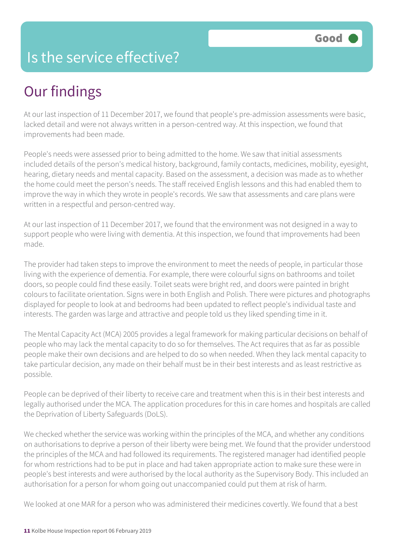# Is the service effective?

# Our findings

At our last inspection of 11 December 2017, we found that people's pre-admission assessments were basic, lacked detail and were not always written in a person-centred way. At this inspection, we found that improvements had been made.

People's needs were assessed prior to being admitted to the home. We saw that initial assessments included details of the person's medical history, background, family contacts, medicines, mobility, eyesight, hearing, dietary needs and mental capacity. Based on the assessment, a decision was made as to whether the home could meet the person's needs. The staff received English lessons and this had enabled them to improve the way in which they wrote in people's records. We saw that assessments and care plans were written in a respectful and person-centred way.

At our last inspection of 11 December 2017, we found that the environment was not designed in a way to support people who were living with dementia. At this inspection, we found that improvements had been made.

The provider had taken steps to improve the environment to meet the needs of people, in particular those living with the experience of dementia. For example, there were colourful signs on bathrooms and toilet doors, so people could find these easily. Toilet seats were bright red, and doors were painted in bright colours to facilitate orientation. Signs were in both English and Polish. There were pictures and photographs displayed for people to look at and bedrooms had been updated to reflect people's individual taste and interests. The garden was large and attractive and people told us they liked spending time in it.

The Mental Capacity Act (MCA) 2005 provides a legal framework for making particular decisions on behalf of people who may lack the mental capacity to do so for themselves. The Act requires that as far as possible people make their own decisions and are helped to do so when needed. When they lack mental capacity to take particular decision, any made on their behalf must be in their best interests and as least restrictive as possible.

People can be deprived of their liberty to receive care and treatment when this is in their best interests and legally authorised under the MCA. The application procedures for this in care homes and hospitals are called the Deprivation of Liberty Safeguards (DoLS).

We checked whether the service was working within the principles of the MCA, and whether any conditions on authorisations to deprive a person of their liberty were being met. We found that the provider understood the principles of the MCA and had followed its requirements. The registered manager had identified people for whom restrictions had to be put in place and had taken appropriate action to make sure these were in people's best interests and were authorised by the local authority as the Supervisory Body. This included an authorisation for a person for whom going out unaccompanied could put them at risk of harm.

We looked at one MAR for a person who was administered their medicines covertly. We found that a best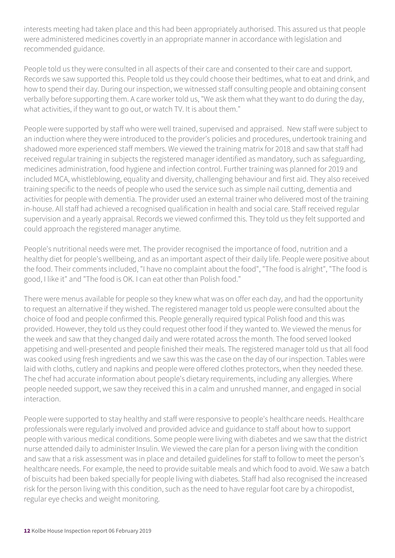interests meeting had taken place and this had been appropriately authorised. This assured us that people were administered medicines covertly in an appropriate manner in accordance with legislation and recommended guidance.

People told us they were consulted in all aspects of their care and consented to their care and support. Records we saw supported this. People told us they could choose their bedtimes, what to eat and drink, and how to spend their day. During our inspection, we witnessed staff consulting people and obtaining consent verbally before supporting them. A care worker told us, "We ask them what they want to do during the day, what activities, if they want to go out, or watch TV. It is about them."

People were supported by staff who were well trained, supervised and appraised. New staff were subject to an induction where they were introduced to the provider's policies and procedures, undertook training and shadowed more experienced staff members. We viewed the training matrix for 2018 and saw that staff had received regular training in subjects the registered manager identified as mandatory, such as safeguarding, medicines administration, food hygiene and infection control. Further training was planned for 2019 and included MCA, whistleblowing, equality and diversity, challenging behaviour and first aid. They also received training specific to the needs of people who used the service such as simple nail cutting, dementia and activities for people with dementia. The provider used an external trainer who delivered most of the training in-house. All staff had achieved a recognised qualification in health and social care. Staff received regular supervision and a yearly appraisal. Records we viewed confirmed this. They told us they felt supported and could approach the registered manager anytime.

People's nutritional needs were met. The provider recognised the importance of food, nutrition and a healthy diet for people's wellbeing, and as an important aspect of their daily life. People were positive about the food. Their comments included, "I have no complaint about the food", "The food is alright", "The food is good, I like it" and "The food is OK. I can eat other than Polish food."

There were menus available for people so they knew what was on offer each day, and had the opportunity to request an alternative if they wished. The registered manager told us people were consulted about the choice of food and people confirmed this. People generally required typical Polish food and this was provided. However, they told us they could request other food if they wanted to. We viewed the menus for the week and saw that they changed daily and were rotated across the month. The food served looked appetising and well-presented and people finished their meals. The registered manager told us that all food was cooked using fresh ingredients and we saw this was the case on the day of our inspection. Tables were laid with cloths, cutlery and napkins and people were offered clothes protectors, when they needed these. The chef had accurate information about people's dietary requirements, including any allergies. Where people needed support, we saw they received this in a calm and unrushed manner, and engaged in social interaction.

People were supported to stay healthy and staff were responsive to people's healthcare needs. Healthcare professionals were regularly involved and provided advice and guidance to staff about how to support people with various medical conditions. Some people were living with diabetes and we saw that the district nurse attended daily to administer Insulin. We viewed the care plan for a person living with the condition and saw that a risk assessment was in place and detailed guidelines for staff to follow to meet the person's healthcare needs. For example, the need to provide suitable meals and which food to avoid. We saw a batch of biscuits had been baked specially for people living with diabetes. Staff had also recognised the increased risk for the person living with this condition, such as the need to have regular foot care by a chiropodist, regular eye checks and weight monitoring.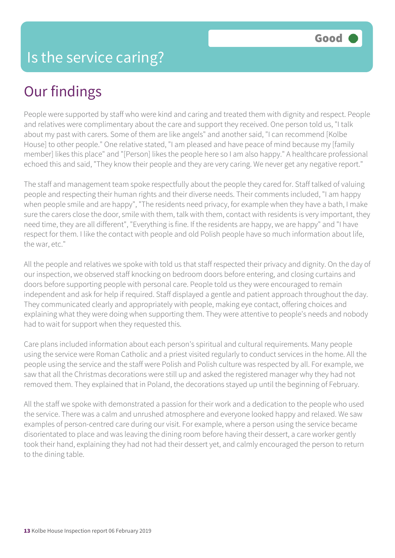# Our findings

People were supported by staff who were kind and caring and treated them with dignity and respect. People and relatives were complimentary about the care and support they received. One person told us, "I talk about my past with carers. Some of them are like angels" and another said, "I can recommend [Kolbe House] to other people." One relative stated, "I am pleased and have peace of mind because my [family member] likes this place" and "[Person] likes the people here so I am also happy." A healthcare professional echoed this and said, "They know their people and they are very caring. We never get any negative report."

The staff and management team spoke respectfully about the people they cared for. Staff talked of valuing people and respecting their human rights and their diverse needs. Their comments included, "I am happy when people smile and are happy", "The residents need privacy, for example when they have a bath, I make sure the carers close the door, smile with them, talk with them, contact with residents is very important, they need time, they are all different", "Everything is fine. If the residents are happy, we are happy" and "I have respect for them. I like the contact with people and old Polish people have so much information about life, the war, etc."

All the people and relatives we spoke with told us that staff respected their privacy and dignity. On the day of our inspection, we observed staff knocking on bedroom doors before entering, and closing curtains and doors before supporting people with personal care. People told us they were encouraged to remain independent and ask for help if required. Staff displayed a gentle and patient approach throughout the day. They communicated clearly and appropriately with people, making eye contact, offering choices and explaining what they were doing when supporting them. They were attentive to people's needs and nobody had to wait for support when they requested this.

Care plans included information about each person's spiritual and cultural requirements. Many people using the service were Roman Catholic and a priest visited regularly to conduct services in the home. All the people using the service and the staff were Polish and Polish culture was respected by all. For example, we saw that all the Christmas decorations were still up and asked the registered manager why they had not removed them. They explained that in Poland, the decorations stayed up until the beginning of February.

All the staff we spoke with demonstrated a passion for their work and a dedication to the people who used the service. There was a calm and unrushed atmosphere and everyone looked happy and relaxed. We saw examples of person-centred care during our visit. For example, where a person using the service became disorientated to place and was leaving the dining room before having their dessert, a care worker gently took their hand, explaining they had not had their dessert yet, and calmly encouraged the person to return to the dining table.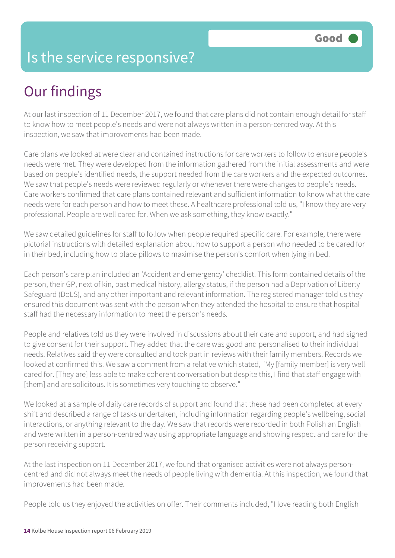# Is the service responsive?

# Our findings

At our last inspection of 11 December 2017, we found that care plans did not contain enough detail for staff to know how to meet people's needs and were not always written in a person-centred way. At this inspection, we saw that improvements had been made.

Care plans we looked at were clear and contained instructions for care workers to follow to ensure people's needs were met. They were developed from the information gathered from the initial assessments and were based on people's identified needs, the support needed from the care workers and the expected outcomes. We saw that people's needs were reviewed regularly or whenever there were changes to people's needs. Care workers confirmed that care plans contained relevant and sufficient information to know what the care needs were for each person and how to meet these. A healthcare professional told us, "I know they are very professional. People are well cared for. When we ask something, they know exactly."

We saw detailed guidelines for staff to follow when people required specific care. For example, there were pictorial instructions with detailed explanation about how to support a person who needed to be cared for in their bed, including how to place pillows to maximise the person's comfort when lying in bed.

Each person's care plan included an 'Accident and emergency' checklist. This form contained details of the person, their GP, next of kin, past medical history, allergy status, if the person had a Deprivation of Liberty Safeguard (DoLS), and any other important and relevant information. The registered manager told us they ensured this document was sent with the person when they attended the hospital to ensure that hospital staff had the necessary information to meet the person's needs.

People and relatives told us they were involved in discussions about their care and support, and had signed to give consent for their support. They added that the care was good and personalised to their individual needs. Relatives said they were consulted and took part in reviews with their family members. Records we looked at confirmed this. We saw a comment from a relative which stated, "My [family member] is very well cared for. [They are] less able to make coherent conversation but despite this, I find that staff engage with [them] and are solicitous. It is sometimes very touching to observe."

We looked at a sample of daily care records of support and found that these had been completed at every shift and described a range of tasks undertaken, including information regarding people's wellbeing, social interactions, or anything relevant to the day. We saw that records were recorded in both Polish an English and were written in a person-centred way using appropriate language and showing respect and care for the person receiving support.

At the last inspection on 11 December 2017, we found that organised activities were not always personcentred and did not always meet the needs of people living with dementia. At this inspection, we found that improvements had been made.

People told us they enjoyed the activities on offer. Their comments included, "I love reading both English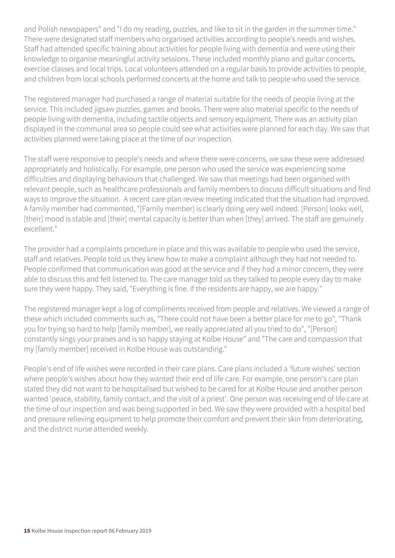and Polish newspapers" and "I do my reading, puzzles, and like to sit in the garden in the summer time." There were designated staff members who organised activities according to people's needs and wishes. Staff had attended specific training about activities for people living with dementia and were using their knowledge to organise meaningful activity sessions. These included monthly piano and guitar concerts, exercise classes and local trips. Local volunteers attended on a regular basis to provide activities to people, and children from local schools performed concerts at the home and talk to people who used the service.

The registered manager had purchased a range of material suitable for the needs of people living at the service. This included jigsaw puzzles, games and books. There were also material specific to the needs of people living with dementia, including tactile objects and sensory equipment. There was an activity plan displayed in the communal area so people could see what activities were planned for each day. We saw that activities planned were taking place at the time of our inspection.

The staff were responsive to people's needs and where there were concerns, we saw these were addressed appropriately and holistically. For example, one person who used the service was experiencing some difficulties and displaying behaviours that challenged. We saw that meetings had been organised with relevant people, such as healthcare professionals and family members to discuss difficult situations and find ways to improve the situation. A recent care plan review meeting indicated that the situation had improved. A family member had commented, "[Family member] is clearly doing very well indeed. [Person] looks well, [their] mood is stable and [their] mental capacity is better than when [they] arrived. The staff are genuinely excellent."

The provider had a complaints procedure in place and this was available to people who used the service, staff and relatives. People told us they knew how to make a complaint although they had not needed to. People confirmed that communication was good at the service and if they had a minor concern, they were able to discuss this and felt listened to. The care manager told us they talked to people every day to make sure they were happy. They said, "Everything is fine. If the residents are happy, we are happy."

The registered manager kept a log of compliments received from people and relatives. We viewed a range of these which included comments such as, "There could not have been a better place for me to go", "Thank you for trying so hard to help [family member], we really appreciated all you tried to do", "[Person] constantly sings your praises and is so happy staying at Kolbe House" and "The care and compassion that my [family member] received in Kolbe House was outstanding."

People's end of life wishes were recorded in their care plans. Care plans included a 'future wishes' section where people's wishes about how they wanted their end of life care. For example, one person's care plan stated they did not want to be hospitalised but wished to be cared for at Kolbe House and another person wanted 'peace, stability, family contact, and the visit of a priest'. One person was receiving end of life care at the time of our inspection and was being supported in bed. We saw they were provided with a hospital bed and pressure relieving equipment to help promote their comfort and prevent their skin from deteriorating, and the district nurse attended weekly.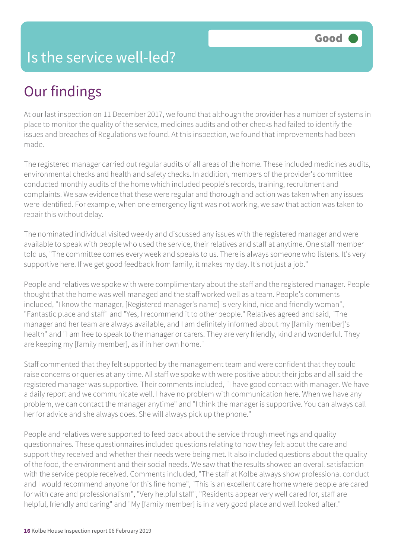# Is the service well-led?

# Our findings

At our last inspection on 11 December 2017, we found that although the provider has a number of systems in place to monitor the quality of the service, medicines audits and other checks had failed to identify the issues and breaches of Regulations we found. At this inspection, we found that improvements had been made.

The registered manager carried out regular audits of all areas of the home. These included medicines audits, environmental checks and health and safety checks. In addition, members of the provider's committee conducted monthly audits of the home which included people's records, training, recruitment and complaints. We saw evidence that these were regular and thorough and action was taken when any issues were identified. For example, when one emergency light was not working, we saw that action was taken to repair this without delay.

The nominated individual visited weekly and discussed any issues with the registered manager and were available to speak with people who used the service, their relatives and staff at anytime. One staff member told us, "The committee comes every week and speaks to us. There is always someone who listens. It's very supportive here. If we get good feedback from family, it makes my day. It's not just a job."

People and relatives we spoke with were complimentary about the staff and the registered manager. People thought that the home was well managed and the staff worked well as a team. People's comments included, "I know the manager, [Registered manager's name] is very kind, nice and friendly woman", "Fantastic place and staff" and "Yes, I recommend it to other people." Relatives agreed and said, "The manager and her team are always available, and I am definitely informed about my [family member]'s health" and "I am free to speak to the manager or carers. They are very friendly, kind and wonderful. They are keeping my [family member], as if in her own home."

Staff commented that they felt supported by the management team and were confident that they could raise concerns or queries at any time. All staff we spoke with were positive about their jobs and all said the registered manager was supportive. Their comments included, "I have good contact with manager. We have a daily report and we communicate well. I have no problem with communication here. When we have any problem, we can contact the manager anytime" and "I think the manager is supportive. You can always call her for advice and she always does. She will always pick up the phone."

People and relatives were supported to feed back about the service through meetings and quality questionnaires. These questionnaires included questions relating to how they felt about the care and support they received and whether their needs were being met. It also included questions about the quality of the food, the environment and their social needs. We saw that the results showed an overall satisfaction with the service people received. Comments included, "The staff at Kolbe always show professional conduct and I would recommend anyone for this fine home", "This is an excellent care home where people are cared for with care and professionalism", "Very helpful staff", "Residents appear very well cared for, staff are helpful, friendly and caring" and "My [family member] is in a very good place and well looked after."